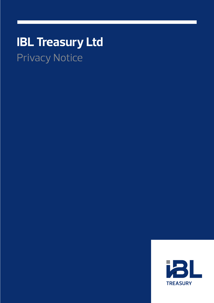# **IBL Treasury Ltd** Privacy Notice

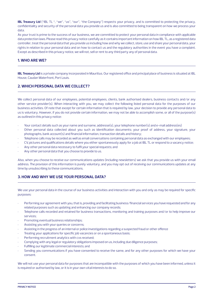**IBL Treasury Ltd** ("IBL TL", "we", "us", "our", "the Company") respects your privacy, and is committed to protecting the privacy, confidentiality and security of the personal data you provide us and is also committed to being transparent on how we process your data.

As your trust is prime to the success of our business, we are committed to protect your personal data in compliance with applicable data protection laws. Please read this privacy notice carefully as it contains important information on how IBL TL, as a registered data controller, treat the personal data that you provide us including how and why we collect, store, use and share your personal data, your rights in relation to your personal data and on how to contact us and the regulatory authorities in the event you have a complaint. Except as described in this privacy notice, we will not, sell or rent to any third party any of personal data.

## **1. WHO ARE WE?**

**IBL Treasury Ltd** is a private company incorporated in Mauritius. Our registered office and principal place of business is situated at IBL House, Caudan Waterfront, Port Louis.

## **2. WHICH PERSONAL DATA WE COLLECT?**

We collect personal data of our employees, potential employees, clients, bank authorised dealers, business contacts and/or any other service provider(s). When interacting with you, we may collect the following listed personal data for the purposes of our business activities. Of note that except for certain information that is required by law, your decision to provide any personal data to us is voluntary. However, if you do not provide certain information, we may not be able to accomplish some, or all of the purpose(s) as outlined in this privacy notice:

- Your contact details such as your name and surname, addresse(s), your telephone number(s) and e-mail address(es)
- Other personal data collected about you such as identification documents; your proof of address, your signature, your  $photographs$ , bank  $account(s)$  and financial information, transaction details and history;
- Telephone calls may be recorded as well as email conversations containing personal data as exchanged with our employees;
- CV, pictures and qualifications details where you either spontaneously apply for a job at IBL TL or respond to a vacancy notice;
- Any other personal data necessary to fulfil your special requests; and
- Any other personal data that you choose to provide to us.

Also, when you choose to receive our communications updates (including newsletters) we ask that you provide us with your email address. The provision of this information is purely voluntary, and you may opt out of receiving our communications updates at any time by unsubscribing to these communications.

# **3. HOW AND WHY WE USE YOUR PERSONAL DATA?**

We use your personal data in the course of our business activities and interaction with you and only as may be required for specific purposes:

- Performing our agreement with you, that is, providing and facilitating business/financial services you have requested and for any related purposes such as updating and enhancing our company records;
- Telephone calls recorded and retained for business transactions, monitoring and training purposes and/or to help improve our services;
- Promoting eventual business relationships;
- Assisting you with your queries or concerns;
- Assisting in the progress of an internal or police investigations regarding a suspected fraud or other offence
- Treating your applications for specific job vacancies or on a spontaneous basis;
- Performing recruitment analytics with cvs received;
- Complying with any legal or regulatory obligations imposed on us, including due diligence purposes;
- Fulfilling our legitimate commercial interests; and
- Sending you communications if you have consented to receive the same, and for any other purposes for which we have your consent.

We will not use your personal data for purposes that are incompatible with the purposes of which you have been informed, unless it is required or authorised by law, or it is in your own vital interests to do so.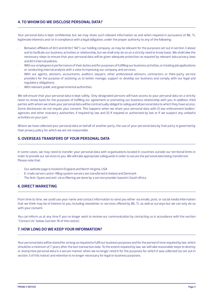## **4. TO WHOM DO WE DISCLOSE PERSONAL DATA?**

Your personal data is kept confidential, but we may share such relevant information as and when required in pursuance of IBL TL legitimate interests and/or in compliance with a legal obligation, under the proper authority to any of the following:

- Between affiliates of ibl tl and ibl ltd ("ibll"), our holding company, as may be relevant for the purposes set out in section 3 above and to facilitate our business activities or relationship, but we shall only do so on a strictly need to know basis. We shall take the necessary steps to ensure that your personal data will be given adequate protection as required by relevant data privacy laws and ibl tl internal policies;
- With our employees in performance of their duties and for purposes of fulfilling our business activities, or treating job applications or conducting internal analysis with a view to improving our company and services;
- With our agents, advisers, accountants, auditors, lawyers, other professional advisors, contractors or third-party service providers for the purpose of assisting us to better manage, support or develop our business and comply with our legal and regulatory obligations;
- With relevant public and governmental authorities.

We will ensure that your personal data is kept safely. Only designated persons will have access to your personal data on a strictly need-to-know basis for the purposes of fulfilling our agreement or promoting our business relationship with you. In addition, third parties with whom we share your personal data will be contractually obliged to safeguard all personal data to which they have access. Some disclosures do not require your consent. This happens when we share your personal data with (i) law enforcement bodies/ agencies and other statutory authorities, if required by law and (ii) If required or authorized by law or if we suspect any unlawful activities on your part.

Where we have collected your personal data on behalf of another party, the use of your personal data by that party is governed by their privacy policy for which we are not responsible.

## **5. OVERSEAS TRANSFERS OF YOUR PERSONAL DATA**

In some cases, we may need to transfer your personal data with organisations located in countries outside our territorial limits in order to provide our services to you. We will take appropriate safeguards in order to secure the personal data being transferred. Please note that:

- Our website page is hosted in England and North Virginia, USA
- E-mails servers and e-filling system servers are transferred in Ireland and Denmark
- The Anti-Spam and anti-virus filtering are done by a service provider based in South Africa

## **6. DIRECT MARKETING**

From time to time, we could use your name and contact information to send you either via emails, post, or social media information that we think may be of interest to you, including newsletter or services offered by IBL TL as well as surveys but we can only do so with your consent.

You can inform us at any time if you no longer want to receive our communication by contacting us in accordance with the section "Contact Us" below (section 18 of this notice).

#### **7. HOW LONG DO WE KEEP YOUR INFORMATION?**

Your personal data will be stored for as long as required to fulfil our business purposes and for the period of time required by law, which should be a minimum of 7 years after the last transaction date. To the extent required by law, we will take reasonable steps to destroy or anonymise personal data in a secure manner when we no longer need it for the purposes for which it was collected (as set out in section 3 of this notice) and retention is no longer necessary for legal or business purposes.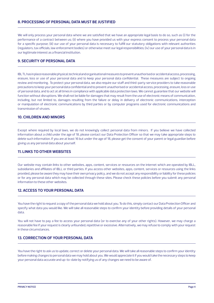## **8. PROCESSING OF PERSONAL DATA MUST BE JUSTIFIED**

We will only process your personal data where we are satisfied that we have an appropriate legal basis to do so, such as (i) for the performance of a contract between us; (ii) where you have provided us with your express consent to process your personal data for a specific purpose; (iii) our use of your personal data is necessary to fulfill our statutory obligations with relevant authorities (regulators, tax officials, law enforcement bodies) or otherwise meet our legal responsibilities; (iv) our use of your personal data is in our legitimate interest as a financial institution.

# **9. SECURITY OF PERSONAL DATA**

IBL TL has in place reasonable physical, technical and organisational measures to prevent unauthorised or accidental access, processing, erasure, loss or use of your personal data and to keep your personal data confidential. These measures are subject to ongoing review and monitoring. To protect your personal data, we also require our staff and third-party service providers to take reasonable precautions to keep your personal data confidential and to prevent unauthorised or accidental access, processing, erasure, loss or use of personal data, and to act at all times in compliance with applicable data protection laws. We cannot guarantee that our website will function without disruptions. We shall not be liable for damages that may result from the use of electronic means of communication, including, but not limited to, damages resulting from the failure or delay in delivery of electronic communications, interception or manipulation of electronic communications by third parties or by computer programs used for electronic communications and transmission of viruses.

#### **10. CHILDREN AND MINORS**

Except where required by local laws, we do not knowingly collect personal data from minors. If you believe we have collected information about a child under the age of 18, please contact our Data Protection Officer so that we may take appropriate steps to delete such information. If you are at least 16 but under the age of 18, please get the consent of your parent or legal guardian before giving us any personal data about yourself.

## **11. LINKS TO OTHER WEBSITES**

Our website may contain links to other websites, apps, content, services or resources on the internet which are operated by IBLL, subsidiaries and affiliates of IBLL or third parties. If you access other websites, apps, content, services or resources using the links provided, please be aware they may have their own privacy policy, and we do not accept any responsibility or liability for these policies or for any personal data which may be collected through these sites. Please check these policies before you submit any personal information to these other websites.

## **12. ACCESS TO YOUR PERSONAL DATA**

You have the right to request a copy of the personal data we hold about you. To do this, simply contact our Data Protection Officer and specify what data you would like. We will take all reasonable steps to confirm your identity before providing details of your personal data.

You will not have to pay a fee to access your personal data (or to exercise any of your other rights). However, we may charge a reasonable fee if your request is clearly unfounded, repetitive or excessive. Alternatively, we may refuse to comply with your request in these circumstances.

#### **13. CORRECTION OF YOUR PERSONAL DATA**

You have the right to ask us to update, correct or delete your personal data. We will take all reasonable steps to confirm your identity before making changes to personal data we may hold about you. We would appreciate it if you would take the necessary steps to keep your personal data accurate and up-to-date by notifying us of any changes we need to be aware of.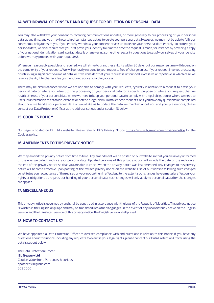## **14. WITHDRAWAL OF CONSENT AND REQUEST FOR DELETION OR PERSONAL DATA**

You may also withdraw your consent to receiving communications updates, or more generally to our processing of your personal data, at any time, and you may in certain circumstances ask us to delete your personal data. However, we may not be able to fulfil our contractual obligations to you if you entirely withdraw your consent or ask us to delete your personal data entirely. To protect your personal data, we shall require that you first prove your identity to us at the time the request is made, for instance by providing a copy of your national identification card, contact details or answering some other security questions to satisfy ourselves of your identity before we may proceed with your request(s).

Whenever reasonably possible and required, we will strive to grant these rights within 30 days, but our response time will depend on the complexity of your requests. We will generally respond to your requests free of charge unless if your request involves processing or retrieving a significant volume of data, or if we consider that your request is unfounded, excessive or repetitive in which case we reserve the right to charge a fee (as mentioned above regarding access).

There may be circumstances where we are not able to comply with your requests, typically in relation to a request to erase your personal data or where you object to the processing of your personal data for a specific purpose or where you request that we restrict the use of your personal data where we need to keep your personal data to comply with a legal obligation or where we need to use such information to establish, exercise or defend a legal claim. To make these requests, or if you have any questions or complaints about how we handle your personal data or would like us to update the data we maintain about you and your preferences, please contact our Data Protection Officer at the address set out under section 18 below.

## **15. COOKIES POLICY**

Our page is hosted on IBL Ltd's website. Please refer to IBL's Privacy Notice https://www.iblgroup.com/privacy-notice for the Cookies policy.

## **16. AMENDMENTS TO THIS PRIVACY NOTICE**

We may amend this privacy notice from time to time. Any amendment will be posted on our website so that you are always informed of the way we collect and use your personal data. Updated versions of this privacy notice will include the date of the revision at the end of this privacy notice so that you are able to check when the privacy notice was last amended. Any changes to this privacy notice will become effective upon posting of the revised privacy notice on the website. Use of our website following such changes constitutes your acceptance of the revised privacy notice then in effect but, to the extent such changes have a material effect on your rights or obligations as regards our handling of your personal data, such changes will only apply to personal data after the changes are applied.

## **17. MISCELLANEOUS**

This privacy notice is governed by and shall be construed in accordance with the laws of the Republic of Mauritius. This privacy notice is written in the English language and may be translated into other languages. In the event of any inconsistency between the English version and the translated version of this privacy notice, the English version shall prevail.

## **18. HOW TO CONTACT US?**

We have appointed a Data Protection Officer to oversee compliance with and questions in relation to this notice. If you have any questions about this notice, including any requests to exercise your legal rights, please contact our Data Protection Officer using the details set out below:

The Data Protection Officer **IBL Treasury Ltd** Caudan Waterfront, Port Louis, Mauritius dpofficer@iblgroup.com 203 2000